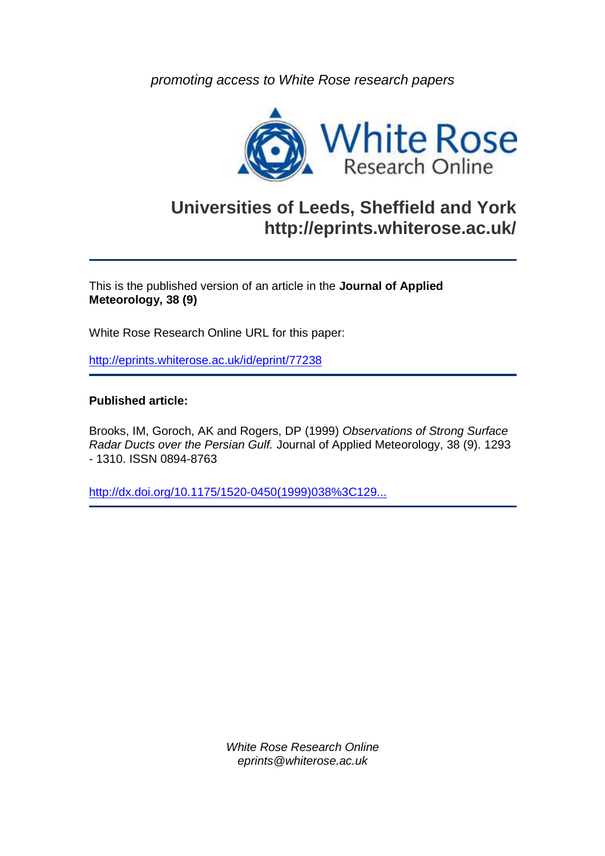*promoting access to White Rose research papers*



# **Universities of Leeds, Sheffield and York http://eprints.whiterose.ac.uk/**

This is the published version of an article in the **Journal of Applied Meteorology, 38 (9)**

White Rose Research Online URL for this paper:

http://eprints.whiterose.ac.uk/id/eprint/77238

# **Published article:**

Brooks, IM, Goroch, AK and Rogers, DP (1999) *Observations of Strong Surface Radar Ducts over the Persian Gulf.* Journal of Applied Meteorology, 38 (9). 1293 - 1310. ISSN 0894-8763

http://dx.doi.org/10.1175/1520-0450(1999)038%3C129...

*White Rose Research Online eprints@whiterose.ac.uk*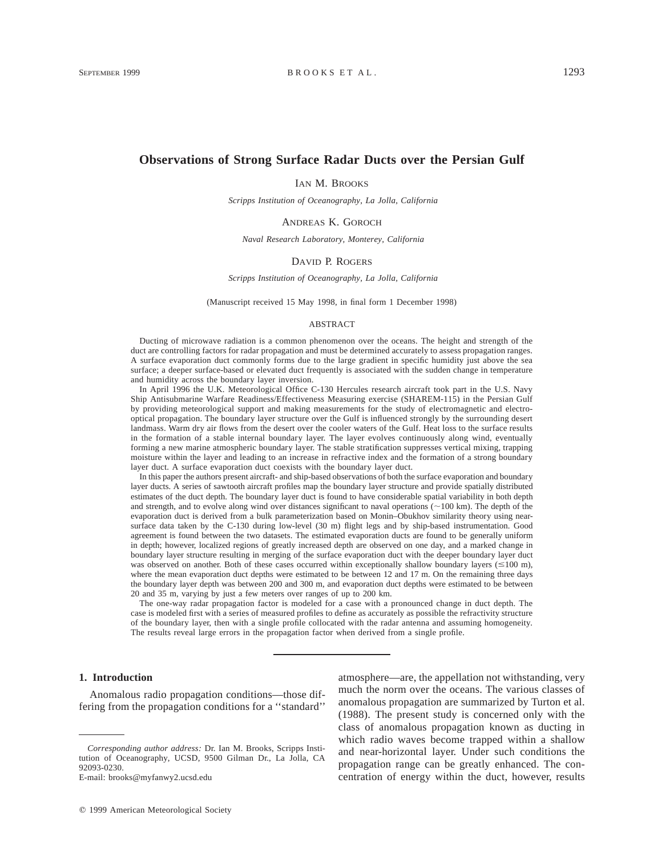# **Observations of Strong Surface Radar Ducts over the Persian Gulf**

IAN M. BROOKS

*Scripps Institution of Oceanography, La Jolla, California*

ANDREAS K. GOROCH

*Naval Research Laboratory, Monterey, California*

## DAVID P. ROGERS

*Scripps Institution of Oceanography, La Jolla, California*

(Manuscript received 15 May 1998, in final form 1 December 1998)

#### ABSTRACT

Ducting of microwave radiation is a common phenomenon over the oceans. The height and strength of the duct are controlling factors for radar propagation and must be determined accurately to assess propagation ranges. A surface evaporation duct commonly forms due to the large gradient in specific humidity just above the sea surface; a deeper surface-based or elevated duct frequently is associated with the sudden change in temperature and humidity across the boundary layer inversion.

In April 1996 the U.K. Meteorological Office C-130 Hercules research aircraft took part in the U.S. Navy Ship Antisubmarine Warfare Readiness/Effectiveness Measuring exercise (SHAREM-115) in the Persian Gulf by providing meteorological support and making measurements for the study of electromagnetic and electrooptical propagation. The boundary layer structure over the Gulf is influenced strongly by the surrounding desert landmass. Warm dry air flows from the desert over the cooler waters of the Gulf. Heat loss to the surface results in the formation of a stable internal boundary layer. The layer evolves continuously along wind, eventually forming a new marine atmospheric boundary layer. The stable stratification suppresses vertical mixing, trapping moisture within the layer and leading to an increase in refractive index and the formation of a strong boundary layer duct. A surface evaporation duct coexists with the boundary layer duct.

In this paper the authors present aircraft- and ship-based observations of both the surface evaporation and boundary layer ducts. A series of sawtooth aircraft profiles map the boundary layer structure and provide spatially distributed estimates of the duct depth. The boundary layer duct is found to have considerable spatial variability in both depth and strength, and to evolve along wind over distances significant to naval operations ( $\sim$ 100 km). The depth of the evaporation duct is derived from a bulk parameterization based on Monin–Obukhov similarity theory using nearsurface data taken by the C-130 during low-level (30 m) flight legs and by ship-based instrumentation. Good agreement is found between the two datasets. The estimated evaporation ducts are found to be generally uniform in depth; however, localized regions of greatly increased depth are observed on one day, and a marked change in boundary layer structure resulting in merging of the surface evaporation duct with the deeper boundary layer duct was observed on another. Both of these cases occurred within exceptionally shallow boundary layers ( $\leq$ 100 m), where the mean evaporation duct depths were estimated to be between 12 and 17 m. On the remaining three days the boundary layer depth was between 200 and 300 m, and evaporation duct depths were estimated to be between 20 and 35 m, varying by just a few meters over ranges of up to 200 km.

The one-way radar propagation factor is modeled for a case with a pronounced change in duct depth. The case is modeled first with a series of measured profiles to define as accurately as possible the refractivity structure of the boundary layer, then with a single profile collocated with the radar antenna and assuming homogeneity. The results reveal large errors in the propagation factor when derived from a single profile.

#### **1. Introduction**

Anomalous radio propagation conditions—those differing from the propagation conditions for a ''standard''

E-mail: brooks@myfanwy2.ucsd.edu

atmosphere—are, the appellation not withstanding, very much the norm over the oceans. The various classes of anomalous propagation are summarized by Turton et al. (1988). The present study is concerned only with the class of anomalous propagation known as ducting in which radio waves become trapped within a shallow and near-horizontal layer. Under such conditions the propagation range can be greatly enhanced. The concentration of energy within the duct, however, results

*Corresponding author address:* Dr. Ian M. Brooks, Scripps Institution of Oceanography, UCSD, 9500 Gilman Dr., La Jolla, CA 92093-0230.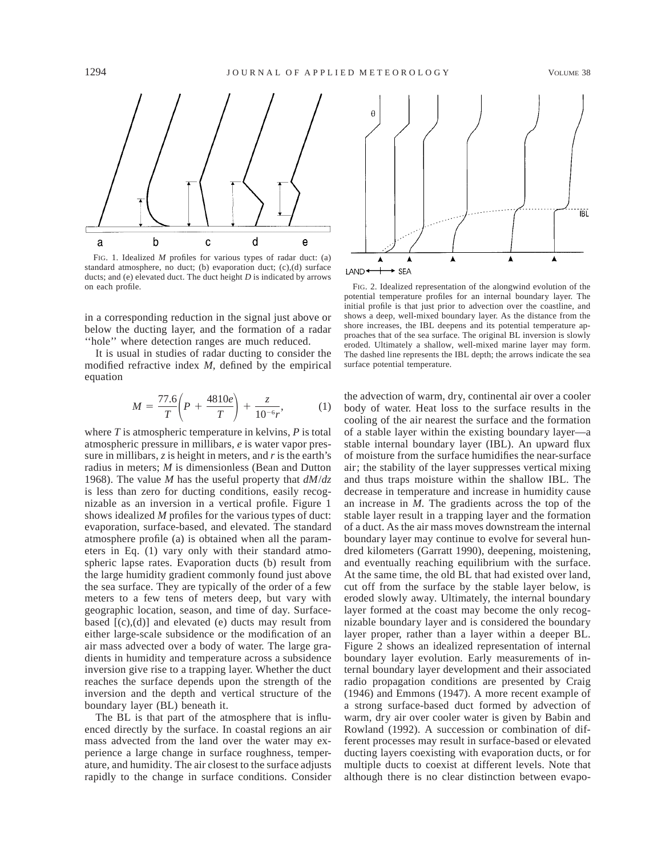

FIG. 1. Idealized *M* profiles for various types of radar duct: (a) standard atmosphere, no duct; (b) evaporation duct; (c),(d) surface ducts; and (e) elevated duct. The duct height *D* is indicated by arrows on each profile. FIG. 2. Idealized representation of the alongwind evolution of the

in a corresponding reduction in the signal just above or below the ducting layer, and the formation of a radar ''hole'' where detection ranges are much reduced.

It is usual in studies of radar ducting to consider the modified refractive index *M,* defined by the empirical equation

$$
M = \frac{77.6}{T} \left( P + \frac{4810e}{T} \right) + \frac{z}{10^{-6}r}, \tag{1}
$$

where *T* is atmospheric temperature in kelvins, *P* is total atmospheric pressure in millibars, *e* is water vapor pressure in millibars, *z* is height in meters, and *r* is the earth's radius in meters; *M* is dimensionless (Bean and Dutton 1968). The value *M* has the useful property that *dM*/*dz* is less than zero for ducting conditions, easily recognizable as an inversion in a vertical profile. Figure 1 shows idealized *M* profiles for the various types of duct: evaporation, surface-based, and elevated. The standard atmosphere profile (a) is obtained when all the parameters in Eq. (1) vary only with their standard atmospheric lapse rates. Evaporation ducts (b) result from the large humidity gradient commonly found just above the sea surface. They are typically of the order of a few meters to a few tens of meters deep, but vary with geographic location, season, and time of day. Surfacebased  $[(c),(d)]$  and elevated (e) ducts may result from either large-scale subsidence or the modification of an air mass advected over a body of water. The large gradients in humidity and temperature across a subsidence inversion give rise to a trapping layer. Whether the duct reaches the surface depends upon the strength of the inversion and the depth and vertical structure of the boundary layer (BL) beneath it.

The BL is that part of the atmosphere that is influenced directly by the surface. In coastal regions an air mass advected from the land over the water may experience a large change in surface roughness, temperature, and humidity. The air closest to the surface adjusts rapidly to the change in surface conditions. Consider



potential temperature profiles for an internal boundary layer. The initial profile is that just prior to advection over the coastline, and shows a deep, well-mixed boundary layer. As the distance from the shore increases, the IBL deepens and its potential temperature approaches that of the sea surface. The original BL inversion is slowly eroded. Ultimately a shallow, well-mixed marine layer may form. The dashed line represents the IBL depth; the arrows indicate the sea surface potential temperature.

the advection of warm, dry, continental air over a cooler body of water. Heat loss to the surface results in the cooling of the air nearest the surface and the formation of a stable layer within the existing boundary layer—a stable internal boundary layer (IBL). An upward flux of moisture from the surface humidifies the near-surface air; the stability of the layer suppresses vertical mixing and thus traps moisture within the shallow IBL. The decrease in temperature and increase in humidity cause an increase in *M.* The gradients across the top of the stable layer result in a trapping layer and the formation of a duct. As the air mass moves downstream the internal boundary layer may continue to evolve for several hundred kilometers (Garratt 1990), deepening, moistening, and eventually reaching equilibrium with the surface. At the same time, the old BL that had existed over land, cut off from the surface by the stable layer below, is eroded slowly away. Ultimately, the internal boundary layer formed at the coast may become the only recognizable boundary layer and is considered the boundary layer proper, rather than a layer within a deeper BL. Figure 2 shows an idealized representation of internal boundary layer evolution. Early measurements of internal boundary layer development and their associated radio propagation conditions are presented by Craig (1946) and Emmons (1947). A more recent example of a strong surface-based duct formed by advection of warm, dry air over cooler water is given by Babin and Rowland (1992). A succession or combination of different processes may result in surface-based or elevated ducting layers coexisting with evaporation ducts, or for multiple ducts to coexist at different levels. Note that although there is no clear distinction between evapo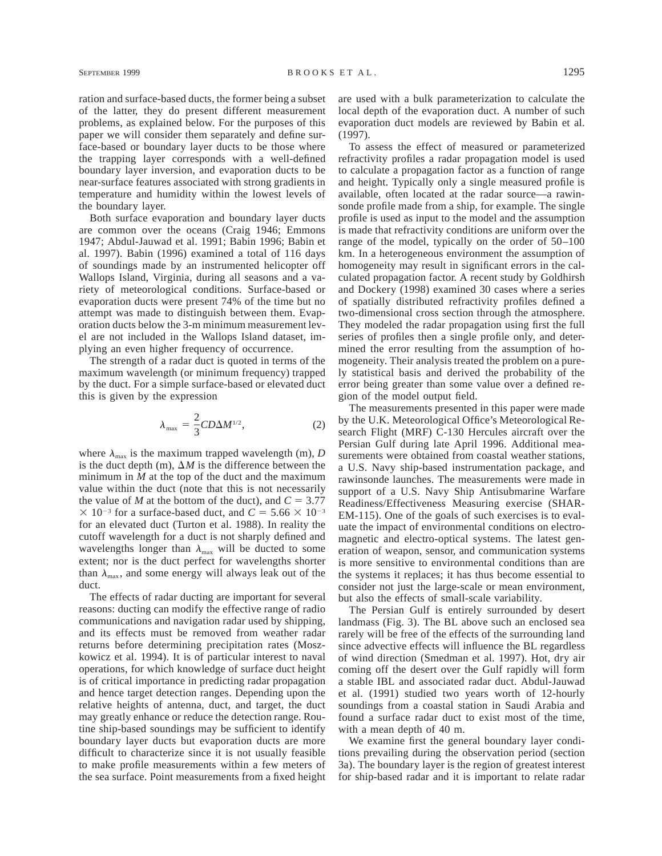ration and surface-based ducts, the former being a subset of the latter, they do present different measurement problems, as explained below. For the purposes of this paper we will consider them separately and define surface-based or boundary layer ducts to be those where the trapping layer corresponds with a well-defined boundary layer inversion, and evaporation ducts to be near-surface features associated with strong gradients in temperature and humidity within the lowest levels of the boundary layer.

Both surface evaporation and boundary layer ducts are common over the oceans (Craig 1946; Emmons 1947; Abdul-Jauwad et al. 1991; Babin 1996; Babin et al. 1997). Babin (1996) examined a total of 116 days of soundings made by an instrumented helicopter off Wallops Island, Virginia, during all seasons and a variety of meteorological conditions. Surface-based or evaporation ducts were present 74% of the time but no attempt was made to distinguish between them. Evaporation ducts below the 3-m minimum measurement level are not included in the Wallops Island dataset, implying an even higher frequency of occurrence.

The strength of a radar duct is quoted in terms of the maximum wavelength (or minimum frequency) trapped by the duct. For a simple surface-based or elevated duct this is given by the expression

$$
\lambda_{\max} = \frac{2}{3} C D \Delta M^{1/2},\tag{2}
$$

where  $\lambda_{\text{max}}$  is the maximum trapped wavelength (m), *D* is the duct depth (m),  $\Delta M$  is the difference between the minimum in *M* at the top of the duct and the maximum value within the duct (note that this is not necessarily the value of *M* at the bottom of the duct), and  $C = 3.77$  $\times$  10<sup>-3</sup> for a surface-based duct, and  $C = 5.66 \times 10^{-3}$ for an elevated duct (Turton et al. 1988). In reality the cutoff wavelength for a duct is not sharply defined and wavelengths longer than  $\lambda_{\text{max}}$  will be ducted to some extent; nor is the duct perfect for wavelengths shorter than  $\lambda_{\text{max}}$ , and some energy will always leak out of the duct.

The effects of radar ducting are important for several reasons: ducting can modify the effective range of radio communications and navigation radar used by shipping, and its effects must be removed from weather radar returns before determining precipitation rates (Moszkowicz et al. 1994). It is of particular interest to naval operations, for which knowledge of surface duct height is of critical importance in predicting radar propagation and hence target detection ranges. Depending upon the relative heights of antenna, duct, and target, the duct may greatly enhance or reduce the detection range. Routine ship-based soundings may be sufficient to identify boundary layer ducts but evaporation ducts are more difficult to characterize since it is not usually feasible to make profile measurements within a few meters of the sea surface. Point measurements from a fixed height are used with a bulk parameterization to calculate the local depth of the evaporation duct. A number of such evaporation duct models are reviewed by Babin et al. (1997).

To assess the effect of measured or parameterized refractivity profiles a radar propagation model is used to calculate a propagation factor as a function of range and height. Typically only a single measured profile is available, often located at the radar source—a rawinsonde profile made from a ship, for example. The single profile is used as input to the model and the assumption is made that refractivity conditions are uniform over the range of the model, typically on the order of 50–100 km. In a heterogeneous environment the assumption of homogeneity may result in significant errors in the calculated propagation factor. A recent study by Goldhirsh and Dockery (1998) examined 30 cases where a series of spatially distributed refractivity profiles defined a two-dimensional cross section through the atmosphere. They modeled the radar propagation using first the full series of profiles then a single profile only, and determined the error resulting from the assumption of homogeneity. Their analysis treated the problem on a purely statistical basis and derived the probability of the error being greater than some value over a defined region of the model output field.

The measurements presented in this paper were made by the U.K. Meteorological Office's Meteorological Research Flight (MRF) C-130 Hercules aircraft over the Persian Gulf during late April 1996. Additional measurements were obtained from coastal weather stations, a U.S. Navy ship-based instrumentation package, and rawinsonde launches. The measurements were made in support of a U.S. Navy Ship Antisubmarine Warfare Readiness/Effectiveness Measuring exercise (SHAR-EM-115). One of the goals of such exercises is to evaluate the impact of environmental conditions on electromagnetic and electro-optical systems. The latest generation of weapon, sensor, and communication systems is more sensitive to environmental conditions than are the systems it replaces; it has thus become essential to consider not just the large-scale or mean environment, but also the effects of small-scale variability.

The Persian Gulf is entirely surrounded by desert landmass (Fig. 3). The BL above such an enclosed sea rarely will be free of the effects of the surrounding land since advective effects will influence the BL regardless of wind direction (Smedman et al. 1997). Hot, dry air coming off the desert over the Gulf rapidly will form a stable IBL and associated radar duct. Abdul-Jauwad et al. (1991) studied two years worth of 12-hourly soundings from a coastal station in Saudi Arabia and found a surface radar duct to exist most of the time, with a mean depth of 40 m.

We examine first the general boundary layer conditions prevailing during the observation period (section 3a). The boundary layer is the region of greatest interest for ship-based radar and it is important to relate radar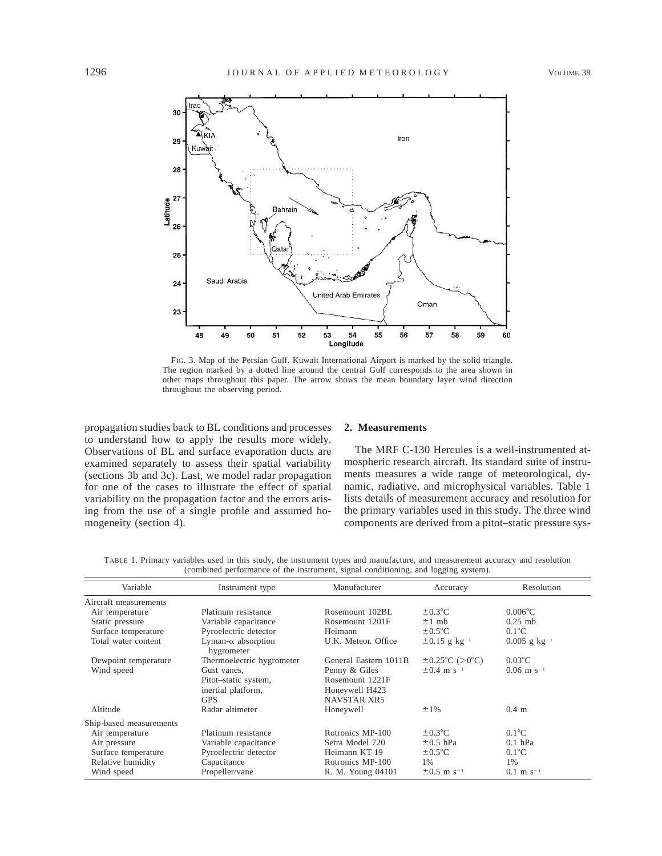

FIG. 3. Map of the Persian Gulf. Kuwait International Airport is marked by the solid triangle. The region marked by a dotted line around the central Gulf corresponds to the area shown in other maps throughout this paper. The arrow shows the mean boundary layer wind direction throughout the observing period.

propagation studies back to BL conditions and processes to understand how to apply the results more widely. Observations of BL and surface evaporation ducts are examined separately to assess their spatial variability (sections 3b and 3c). Last, we model radar propagation for one of the cases to illustrate the effect of spatial variability on the propagation factor and the errors arising from the use of a single profile and assumed homogeneity (section 4).

#### **2. Measurements**

The MRF C-130 Hercules is a well-instrumented atmospheric research aircraft. Its standard suite of instruments measures a wide range of meteorological, dynamic, radiative, and microphysical variables. Table 1 lists details of measurement accuracy and resolution for the primary variables used in this study. The three wind components are derived from a pitot–static pressure sys-

| (combined performance of the instrument, signal conditioning, and logging system). |                                          |                       |                                        |                            |  |  |
|------------------------------------------------------------------------------------|------------------------------------------|-----------------------|----------------------------------------|----------------------------|--|--|
| Variable                                                                           | Instrument type                          | Manufacturer          | Accuracy                               | Resolution                 |  |  |
| Aircraft measurements                                                              |                                          |                       |                                        |                            |  |  |
| Air temperature                                                                    | Platinum resistance                      | Rosemount 102BL       | $\pm 0.3$ °C                           | $0.006$ °C                 |  |  |
| Static pressure                                                                    | Variable capacitance                     | Rosemount 1201F       | $\pm 1$ mb                             | $0.25$ mb                  |  |  |
| Surface temperature                                                                | Pyroelectric detector                    | Heimann               | $\pm 0.5$ °C                           | $0.1^{\circ}$ C            |  |  |
| Total water content                                                                | Lyman- $\alpha$ absorption<br>hygrometer | U.K. Meteor. Office   | $\pm 0.15$ g kg <sup>-1</sup>          | $0.005$ g kg <sup>-1</sup> |  |  |
| Dewpoint temperature                                                               | Thermoelectric hygrometer                | General Eastern 1011B | $\pm 0.25^{\circ}$ C ( $>0^{\circ}$ C) | $0.03\degree C$            |  |  |
| Wind speed                                                                         | Gust vanes,                              | Penny & Giles         | $\pm 0.4$ m s <sup>-1</sup>            | $0.06$ m s <sup>-1</sup>   |  |  |
|                                                                                    | Pitot-static system,                     | Rosemount 1221F       |                                        |                            |  |  |
|                                                                                    | inertial platform,                       | Honeywell H423        |                                        |                            |  |  |
|                                                                                    | <b>GPS</b>                               | NAVSTAR XR5           |                                        |                            |  |  |
| Altitude                                                                           | Radar altimeter                          | Honeywell             | $\pm 1\%$                              | $0.4 \text{ m}$            |  |  |
| Ship-based measurements                                                            |                                          |                       |                                        |                            |  |  |
| Air temperature                                                                    | Platinum resistance                      | Rotronics MP-100      | $\pm 0.3$ °C                           | $0.1^{\circ}$ C            |  |  |
| Air pressure                                                                       | Variable capacitance                     | Setra Model 720       | $\pm 0.5$ hPa                          | $0.1$ hPa                  |  |  |
| Surface temperature                                                                | Pyroelectric detector                    | Heimann KT-19         | $\pm 0.5$ °C                           | $0.1^{\circ}$ C            |  |  |
| Relative humidity                                                                  | Capacitance                              | Rotronics MP-100      | 1%                                     | 1%                         |  |  |
| Wind speed                                                                         | Propeller/vane                           | R. M. Young 04101     | $\pm 0.5$ m s <sup>-1</sup>            | $0.1 \text{ m s}^{-1}$     |  |  |

TABLE 1. Primary variables used in this study, the instrument types and manufacture, and measurement accuracy and resolution (combined performance of the instrument, signal conditioning, and logging system).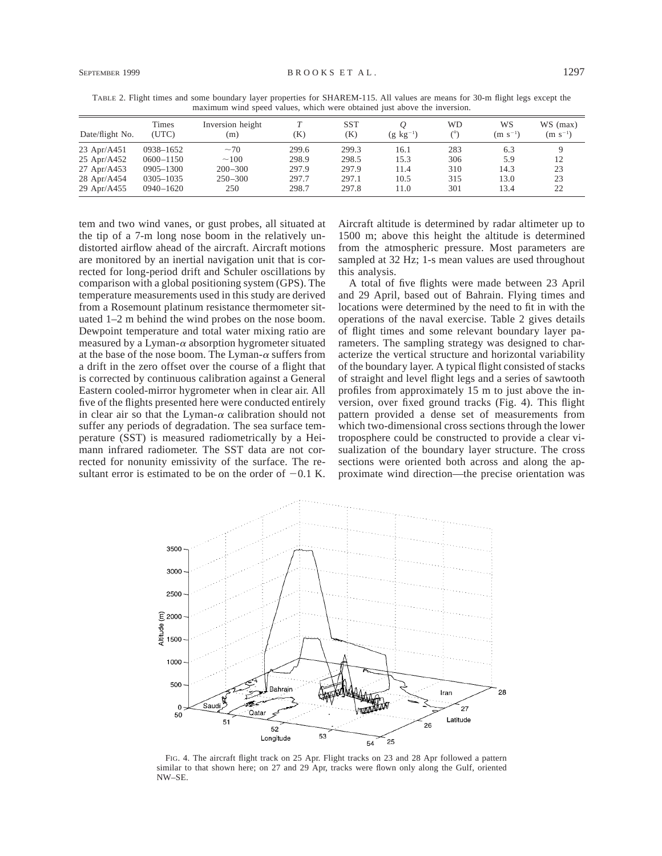29 Apr/A455

0940–1620

22

| maximum wind speed values, which were obtained just above the inversion. |                |                         |       |            |                  |     |                    |                          |
|--------------------------------------------------------------------------|----------------|-------------------------|-------|------------|------------------|-----|--------------------|--------------------------|
| Date/flight No.                                                          | Times<br>(UTC) | Inversion height<br>(m) | (K)   | SST<br>(K) | $(g \; kg^{-1})$ | WD  | WS<br>$(m s^{-1})$ | WS (max)<br>$(m s^{-1})$ |
| 23 Apr/A451                                                              | 0938-1652      | $\sim$ 70               | 299.6 | 299.3      | 16.1             | 283 | 6.3                |                          |
| 25 Apr/A452                                                              | $0600 - 1150$  | $\sim$ 100              | 298.9 | 298.5      | 15.3             | 306 | 5.9                | 12                       |
| 27 Apr/A453                                                              | $0905 - 1300$  | $200 - 300$             | 297.9 | 297.9      | 11.4             | 310 | 14.3               | 23                       |
| 28 Apr/A454                                                              | $0305 - 1035$  | $250 - 300$             | 297.7 | 297.1      | 10.5             | 315 | 13.0               | 23                       |

297.8

11.0

298.7

TABLE 2. Flight times and some boundary layer properties for SHAREM-115. All values are means for 30-m flight legs except the

tem and two wind vanes, or gust probes, all situated at the tip of a 7-m long nose boom in the relatively undistorted airflow ahead of the aircraft. Aircraft motions are monitored by an inertial navigation unit that is corrected for long-period drift and Schuler oscillations by comparison with a global positioning system (GPS). The temperature measurements used in this study are derived from a Rosemount platinum resistance thermometer situated 1–2 m behind the wind probes on the nose boom. Dewpoint temperature and total water mixing ratio are measured by a Lyman- $\alpha$  absorption hygrometer situated at the base of the nose boom. The Lyman- $\alpha$  suffers from a drift in the zero offset over the course of a flight that is corrected by continuous calibration against a General Eastern cooled-mirror hygrometer when in clear air. All five of the flights presented here were conducted entirely in clear air so that the Lyman- $\alpha$  calibration should not suffer any periods of degradation. The sea surface temperature (SST) is measured radiometrically by a Heimann infrared radiometer. The SST data are not corrected for nonunity emissivity of the surface. The resultant error is estimated to be on the order of  $-0.1$  K.

250

Aircraft altitude is determined by radar altimeter up to 1500 m; above this height the altitude is determined from the atmospheric pressure. Most parameters are sampled at 32 Hz; 1-s mean values are used throughout this analysis.

301

13.4

A total of five flights were made between 23 April and 29 April, based out of Bahrain. Flying times and locations were determined by the need to fit in with the operations of the naval exercise. Table 2 gives details of flight times and some relevant boundary layer parameters. The sampling strategy was designed to characterize the vertical structure and horizontal variability of the boundary layer. A typical flight consisted of stacks of straight and level flight legs and a series of sawtooth profiles from approximately 15 m to just above the inversion, over fixed ground tracks (Fig. 4). This flight pattern provided a dense set of measurements from which two-dimensional cross sections through the lower troposphere could be constructed to provide a clear visualization of the boundary layer structure. The cross sections were oriented both across and along the approximate wind direction—the precise orientation was



FIG. 4. The aircraft flight track on 25 Apr. Flight tracks on 23 and 28 Apr followed a pattern similar to that shown here; on 27 and 29 Apr, tracks were flown only along the Gulf, oriented NW–SE.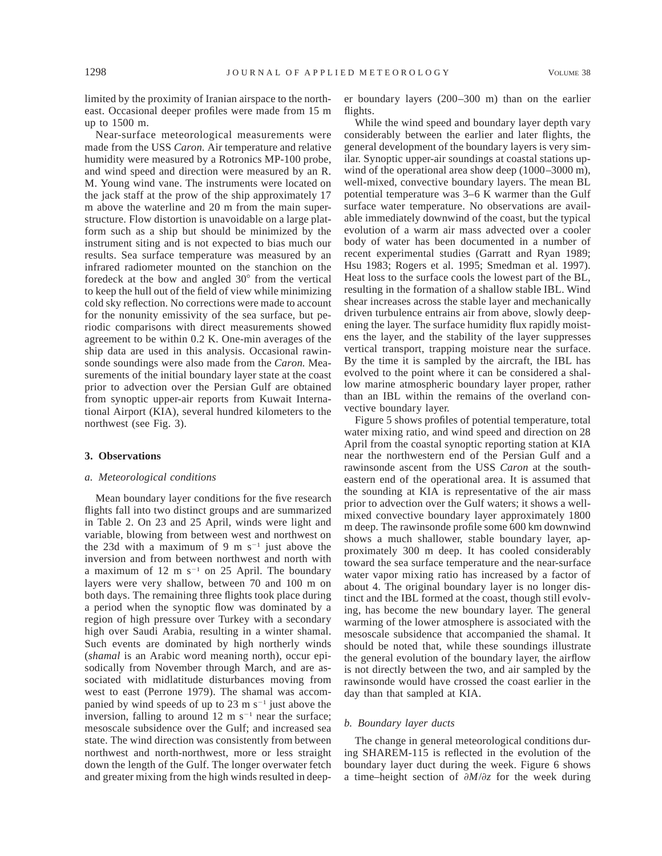limited by the proximity of Iranian airspace to the northeast. Occasional deeper profiles were made from 15 m up to 1500 m.

Near-surface meteorological measurements were made from the USS *Caron.* Air temperature and relative humidity were measured by a Rotronics MP-100 probe, and wind speed and direction were measured by an R. M. Young wind vane. The instruments were located on the jack staff at the prow of the ship approximately 17 m above the waterline and 20 m from the main superstructure. Flow distortion is unavoidable on a large platform such as a ship but should be minimized by the instrument siting and is not expected to bias much our results. Sea surface temperature was measured by an infrared radiometer mounted on the stanchion on the foredeck at the bow and angled  $30^{\circ}$  from the vertical to keep the hull out of the field of view while minimizing cold sky reflection. No corrections were made to account for the nonunity emissivity of the sea surface, but periodic comparisons with direct measurements showed agreement to be within 0.2 K. One-min averages of the ship data are used in this analysis. Occasional rawinsonde soundings were also made from the *Caron.* Measurements of the initial boundary layer state at the coast prior to advection over the Persian Gulf are obtained from synoptic upper-air reports from Kuwait International Airport (KIA), several hundred kilometers to the northwest (see Fig. 3).

### **3. Observations**

#### *a. Meteorological conditions*

Mean boundary layer conditions for the five research flights fall into two distinct groups and are summarized in Table 2. On 23 and 25 April, winds were light and variable, blowing from between west and northwest on the 23d with a maximum of 9 m  $s^{-1}$  just above the inversion and from between northwest and north with a maximum of  $12 \text{ m s}^{-1}$  on  $25$  April. The boundary layers were very shallow, between 70 and 100 m on both days. The remaining three flights took place during a period when the synoptic flow was dominated by a region of high pressure over Turkey with a secondary high over Saudi Arabia, resulting in a winter shamal. Such events are dominated by high northerly winds (*shamal* is an Arabic word meaning north), occur episodically from November through March, and are associated with midlatitude disturbances moving from west to east (Perrone 1979). The shamal was accompanied by wind speeds of up to 23 m  $s^{-1}$  just above the inversion, falling to around  $12 \text{ m s}^{-1}$  near the surface; mesoscale subsidence over the Gulf; and increased sea state. The wind direction was consistently from between northwest and north-northwest, more or less straight down the length of the Gulf. The longer overwater fetch and greater mixing from the high winds resulted in deeper boundary layers (200–300 m) than on the earlier flights.

While the wind speed and boundary layer depth vary considerably between the earlier and later flights, the general development of the boundary layers is very similar. Synoptic upper-air soundings at coastal stations upwind of the operational area show deep (1000–3000 m), well-mixed, convective boundary layers. The mean BL potential temperature was 3–6 K warmer than the Gulf surface water temperature. No observations are available immediately downwind of the coast, but the typical evolution of a warm air mass advected over a cooler body of water has been documented in a number of recent experimental studies (Garratt and Ryan 1989; Hsu 1983; Rogers et al. 1995; Smedman et al. 1997). Heat loss to the surface cools the lowest part of the BL, resulting in the formation of a shallow stable IBL. Wind shear increases across the stable layer and mechanically driven turbulence entrains air from above, slowly deepening the layer. The surface humidity flux rapidly moistens the layer, and the stability of the layer suppresses vertical transport, trapping moisture near the surface. By the time it is sampled by the aircraft, the IBL has evolved to the point where it can be considered a shallow marine atmospheric boundary layer proper, rather than an IBL within the remains of the overland convective boundary layer.

Figure 5 shows profiles of potential temperature, total water mixing ratio, and wind speed and direction on 28 April from the coastal synoptic reporting station at KIA near the northwestern end of the Persian Gulf and a rawinsonde ascent from the USS *Caron* at the southeastern end of the operational area. It is assumed that the sounding at KIA is representative of the air mass prior to advection over the Gulf waters; it shows a wellmixed convective boundary layer approximately 1800 m deep. The rawinsonde profile some 600 km downwind shows a much shallower, stable boundary layer, approximately 300 m deep. It has cooled considerably toward the sea surface temperature and the near-surface water vapor mixing ratio has increased by a factor of about 4. The original boundary layer is no longer distinct and the IBL formed at the coast, though still evolving, has become the new boundary layer. The general warming of the lower atmosphere is associated with the mesoscale subsidence that accompanied the shamal. It should be noted that, while these soundings illustrate the general evolution of the boundary layer, the airflow is not directly between the two, and air sampled by the rawinsonde would have crossed the coast earlier in the day than that sampled at KIA.

#### *b. Boundary layer ducts*

The change in general meteorological conditions during SHAREM-115 is reflected in the evolution of the boundary layer duct during the week. Figure 6 shows a time–height section of  $\partial M/\partial z$  for the week during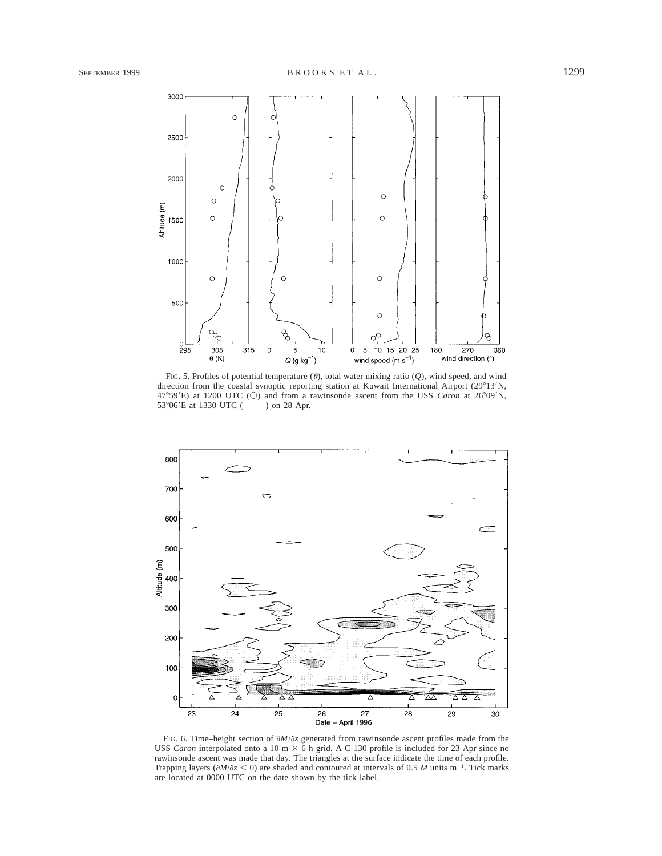

FIG. 5. Profiles of potential temperature  $(\theta)$ , total water mixing ratio  $(Q)$ , wind speed, and wind direction from the coastal synoptic reporting station at Kuwait International Airport (29°13'N, 47°59'E) at 1200 UTC ( $\bigcirc$ ) and from a rawinsonde ascent from the USS *Caron* at 26°09'N, 53°06'E at 1330 UTC (-) on 28 Apr.



FIG. 6. Time–height section of  $\partial M/\partial z$  generated from rawinsonde ascent profiles made from the USS *Caron* interpolated onto a 10 m  $\times$  6 h grid. A C-130 profile is included for 23 Apr since no rawinsonde ascent was made that day. The triangles at the surface indicate the time of each profile. Trapping layers ( $\partial M/\partial z$  < 0) are shaded and contoured at intervals of 0.5 *M* units m<sup>-1</sup>. Tick marks are located at 0000 UTC on the date shown by the tick label.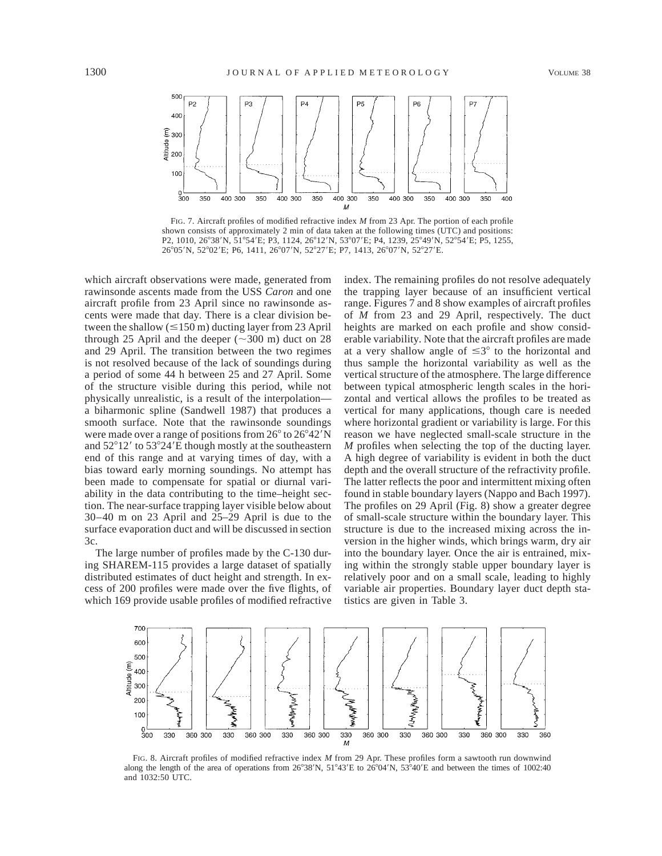

FIG. 7. Aircraft profiles of modified refractive index *M* from 23 Apr. The portion of each profile shown consists of approximately 2 min of data taken at the following times (UTC) and positions: P2, 1010, 26°38'N, 51°54'E; P3, 1124, 26°12'N, 53°07'E; P4, 1239, 25°49'N, 52°54'E; P5, 1255, 26°05'N, 52°02'E; P6, 1411, 26°07'N, 52°27'E; P7, 1413, 26°07'N, 52°27'E.

which aircraft observations were made, generated from rawinsonde ascents made from the USS *Caron* and one aircraft profile from 23 April since no rawinsonde ascents were made that day. There is a clear division between the shallow  $(\leq 150 \text{ m})$  ducting layer from 23 April through 25 April and the deeper  $(\sim 300 \text{ m})$  duct on 28 and 29 April. The transition between the two regimes is not resolved because of the lack of soundings during a period of some 44 h between 25 and 27 April. Some of the structure visible during this period, while not physically unrealistic, is a result of the interpolation a biharmonic spline (Sandwell 1987) that produces a smooth surface. Note that the rawinsonde soundings were made over a range of positions from  $26^{\circ}$  to  $26^{\circ}42'N$ and  $52^{\circ}12'$  to  $53^{\circ}24'E$  though mostly at the southeastern end of this range and at varying times of day, with a bias toward early morning soundings. No attempt has been made to compensate for spatial or diurnal variability in the data contributing to the time–height section. The near-surface trapping layer visible below about 30–40 m on 23 April and 25–29 April is due to the surface evaporation duct and will be discussed in section 3c.

The large number of profiles made by the C-130 during SHAREM-115 provides a large dataset of spatially distributed estimates of duct height and strength. In excess of 200 profiles were made over the five flights, of which 169 provide usable profiles of modified refractive index. The remaining profiles do not resolve adequately the trapping layer because of an insufficient vertical range. Figures 7 and 8 show examples of aircraft profiles of *M* from 23 and 29 April, respectively. The duct heights are marked on each profile and show considerable variability. Note that the aircraft profiles are made at a very shallow angle of  $\leq 3^{\circ}$  to the horizontal and thus sample the horizontal variability as well as the vertical structure of the atmosphere. The large difference between typical atmospheric length scales in the horizontal and vertical allows the profiles to be treated as vertical for many applications, though care is needed where horizontal gradient or variability is large. For this reason we have neglected small-scale structure in the *M* profiles when selecting the top of the ducting layer. A high degree of variability is evident in both the duct depth and the overall structure of the refractivity profile. The latter reflects the poor and intermittent mixing often found in stable boundary layers (Nappo and Bach 1997). The profiles on 29 April (Fig. 8) show a greater degree of small-scale structure within the boundary layer. This structure is due to the increased mixing across the inversion in the higher winds, which brings warm, dry air into the boundary layer. Once the air is entrained, mixing within the strongly stable upper boundary layer is relatively poor and on a small scale, leading to highly variable air properties. Boundary layer duct depth statistics are given in Table 3.



FIG. 8. Aircraft profiles of modified refractive index *M* from 29 Apr. These profiles form a sawtooth run downwind along the length of the area of operations from  $26^{\circ}38'N$ ,  $51^{\circ}43'E$  to  $26^{\circ}04'N$ ,  $53^{\circ}40'E$  and between the times of 1002:40 and 1032:50 UTC.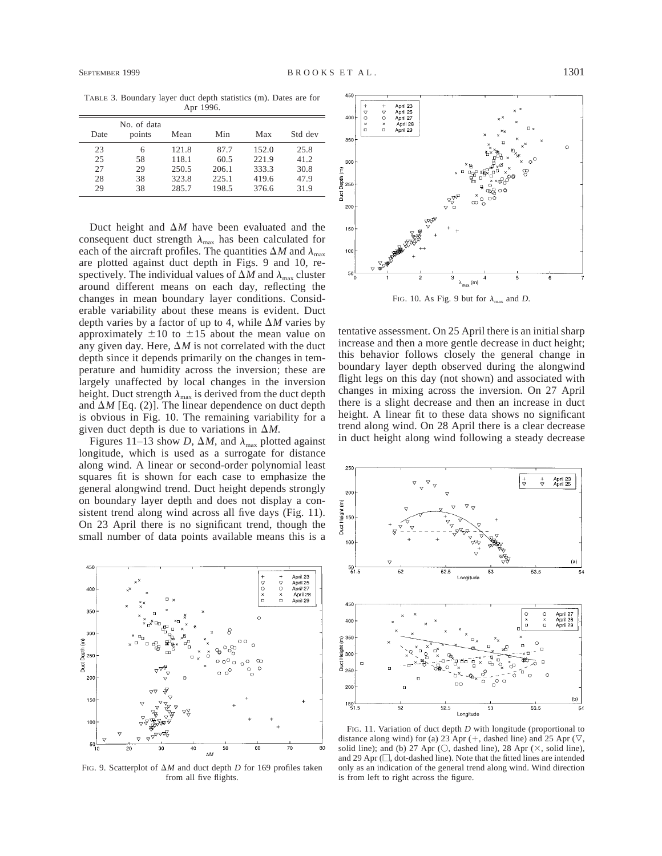TABLE 3. Boundary layer duct depth statistics (m). Dates are for Apr 1996.

| Date | No. of data<br>points | Mean  | Min   | Max   | Std dev |
|------|-----------------------|-------|-------|-------|---------|
| 23   | 6                     | 121.8 | 87.7  | 152.0 | 25.8    |
| 25   | 58                    | 118.1 | 60.5  | 221.9 | 41.2    |
| 27   | 29                    | 250.5 | 206.1 | 333.3 | 30.8    |
| 28   | 38                    | 323.8 | 225.1 | 419.6 | 47.9    |
| 29   | 38                    | 285.7 | 198.5 | 376.6 | 31.9    |

Duct height and  $\Delta M$  have been evaluated and the consequent duct strength  $\lambda_{\text{max}}$  has been calculated for each of the aircraft profiles. The quantities  $\Delta M$  and  $\lambda_{\text{max}}$ are plotted against duct depth in Figs. 9 and 10, respectively. The individual values of  $\Delta M$  and  $\lambda_{\text{max}}$  cluster around different means on each day, reflecting the changes in mean boundary layer conditions. Considerable variability about these means is evident. Duct depth varies by a factor of up to 4, while  $\Delta M$  varies by approximately  $\pm 10$  to  $\pm 15$  about the mean value on any given day. Here,  $\Delta M$  is not correlated with the duct depth since it depends primarily on the changes in temperature and humidity across the inversion; these are largely unaffected by local changes in the inversion height. Duct strength  $\lambda_{\text{max}}$  is derived from the duct depth and  $\Delta M$  [Eq. (2)]. The linear dependence on duct depth is obvious in Fig. 10. The remaining variability for a given duct depth is due to variations in  $\Delta M$ .

Figures 11–13 show *D*,  $\Delta M$ , and  $\lambda_{\text{max}}$  plotted against longitude, which is used as a surrogate for distance along wind. A linear or second-order polynomial least squares fit is shown for each case to emphasize the general alongwind trend. Duct height depends strongly on boundary layer depth and does not display a consistent trend along wind across all five days (Fig. 11). On 23 April there is no significant trend, though the small number of data points available means this is a



FIG. 9. Scatterplot of  $\Delta M$  and duct depth *D* for 169 profiles taken from all five flights.



FIG. 10. As Fig. 9 but for  $\lambda_{\text{max}}$  and *D*.

tentative assessment. On 25 April there is an initial sharp increase and then a more gentle decrease in duct height; this behavior follows closely the general change in boundary layer depth observed during the alongwind flight legs on this day (not shown) and associated with changes in mixing across the inversion. On 27 April there is a slight decrease and then an increase in duct height. A linear fit to these data shows no significant trend along wind. On 28 April there is a clear decrease in duct height along wind following a steady decrease



FIG. 11. Variation of duct depth *D* with longitude (proportional to distance along wind) for (a) 23 Apr (+, dashed line) and 25 Apr ( $\nabla$ , solid line); and (b) 27 Apr ( $\circ$ , dashed line), 28 Apr ( $\times$ , solid line), and 29 Apr  $(\Box)$ , dot-dashed line). Note that the fitted lines are intended only as an indication of the general trend along wind. Wind direction is from left to right across the figure.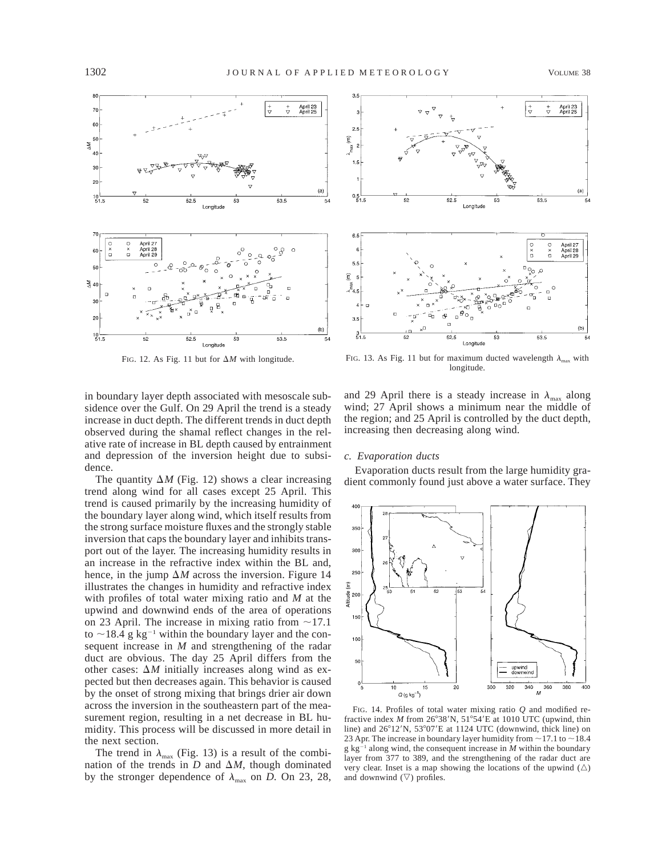



FIG. 12. As Fig. 11 but for  $\Delta M$  with longitude. FIG. 13. As Fig. 11 but for maximum ducted wavelength  $\lambda_{\text{max}}$  with longitude.

in boundary layer depth associated with mesoscale subsidence over the Gulf. On 29 April the trend is a steady increase in duct depth. The different trends in duct depth observed during the shamal reflect changes in the relative rate of increase in BL depth caused by entrainment and depression of the inversion height due to subsidence.

The quantity  $\Delta M$  (Fig. 12) shows a clear increasing trend along wind for all cases except 25 April. This trend is caused primarily by the increasing humidity of the boundary layer along wind, which itself results from the strong surface moisture fluxes and the strongly stable inversion that caps the boundary layer and inhibits transport out of the layer. The increasing humidity results in an increase in the refractive index within the BL and, hence, in the jump  $\Delta M$  across the inversion. Figure 14 illustrates the changes in humidity and refractive index with profiles of total water mixing ratio and *M* at the upwind and downwind ends of the area of operations on 23 April. The increase in mixing ratio from  $\sim$ 17.1 to  $\sim$ 18.4 g kg<sup>-1</sup> within the boundary layer and the consequent increase in *M* and strengthening of the radar duct are obvious. The day 25 April differs from the other cases:  $\Delta M$  initially increases along wind as expected but then decreases again. This behavior is caused by the onset of strong mixing that brings drier air down across the inversion in the southeastern part of the measurement region, resulting in a net decrease in BL humidity. This process will be discussed in more detail in the next section.

The trend in  $\lambda_{\text{max}}$  (Fig. 13) is a result of the combination of the trends in  $D$  and  $\Delta M$ , though dominated by the stronger dependence of  $\lambda_{\text{max}}$  on *D*. On 23, 28,

and 29 April there is a steady increase in  $\lambda_{\text{max}}$  along wind; 27 April shows a minimum near the middle of the region; and 25 April is controlled by the duct depth, increasing then decreasing along wind.

#### *c. Evaporation ducts*

Evaporation ducts result from the large humidity gradient commonly found just above a water surface. They



FIG. 14. Profiles of total water mixing ratio *Q* and modified refractive index  $M$  from  $26^{\circ}38'N$ ,  $51^{\circ}54'E$  at 1010 UTC (upwind, thin line) and  $26^{\circ}12'$ N,  $53^{\circ}07'E$  at 1124 UTC (downwind, thick line) on 23 Apr. The increase in boundary layer humidity from  $\sim$  17.1 to  $\sim$  18.4 g kg<sup>-1</sup> along wind, the consequent increase in  $M$  within the boundary layer from 377 to 389, and the strengthening of the radar duct are very clear. Inset is a map showing the locations of the upwind  $(\triangle)$ and downwind  $(\nabla)$  profiles.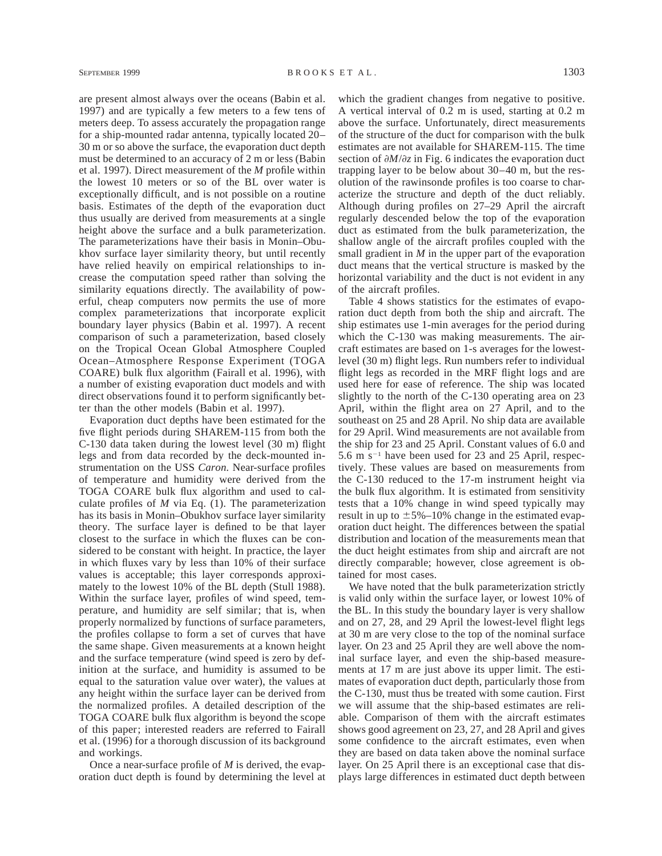are present almost always over the oceans (Babin et al. 1997) and are typically a few meters to a few tens of meters deep. To assess accurately the propagation range for a ship-mounted radar antenna, typically located 20– 30 m or so above the surface, the evaporation duct depth must be determined to an accuracy of 2 m or less (Babin et al. 1997). Direct measurement of the *M* profile within the lowest 10 meters or so of the BL over water is exceptionally difficult, and is not possible on a routine basis. Estimates of the depth of the evaporation duct thus usually are derived from measurements at a single height above the surface and a bulk parameterization. The parameterizations have their basis in Monin–Obukhov surface layer similarity theory, but until recently have relied heavily on empirical relationships to increase the computation speed rather than solving the similarity equations directly. The availability of powerful, cheap computers now permits the use of more complex parameterizations that incorporate explicit boundary layer physics (Babin et al. 1997). A recent comparison of such a parameterization, based closely on the Tropical Ocean Global Atmosphere Coupled Ocean–Atmosphere Response Experiment (TOGA COARE) bulk flux algorithm (Fairall et al. 1996), with a number of existing evaporation duct models and with direct observations found it to perform significantly better than the other models (Babin et al. 1997).

Evaporation duct depths have been estimated for the five flight periods during SHAREM-115 from both the C-130 data taken during the lowest level (30 m) flight legs and from data recorded by the deck-mounted instrumentation on the USS *Caron.* Near-surface profiles of temperature and humidity were derived from the TOGA COARE bulk flux algorithm and used to calculate profiles of *M* via Eq. (1). The parameterization has its basis in Monin–Obukhov surface layer similarity theory. The surface layer is defined to be that layer closest to the surface in which the fluxes can be considered to be constant with height. In practice, the layer in which fluxes vary by less than 10% of their surface values is acceptable; this layer corresponds approximately to the lowest 10% of the BL depth (Stull 1988). Within the surface layer, profiles of wind speed, temperature, and humidity are self similar; that is, when properly normalized by functions of surface parameters, the profiles collapse to form a set of curves that have the same shape. Given measurements at a known height and the surface temperature (wind speed is zero by definition at the surface, and humidity is assumed to be equal to the saturation value over water), the values at any height within the surface layer can be derived from the normalized profiles. A detailed description of the TOGA COARE bulk flux algorithm is beyond the scope of this paper; interested readers are referred to Fairall et al. (1996) for a thorough discussion of its background and workings.

Once a near-surface profile of *M* is derived, the evaporation duct depth is found by determining the level at which the gradient changes from negative to positive. A vertical interval of 0.2 m is used, starting at 0.2 m above the surface. Unfortunately, direct measurements of the structure of the duct for comparison with the bulk estimates are not available for SHAREM-115. The time section of  $\partial M/\partial z$  in Fig. 6 indicates the evaporation duct trapping layer to be below about 30–40 m, but the resolution of the rawinsonde profiles is too coarse to characterize the structure and depth of the duct reliably. Although during profiles on 27–29 April the aircraft regularly descended below the top of the evaporation duct as estimated from the bulk parameterization, the shallow angle of the aircraft profiles coupled with the small gradient in *M* in the upper part of the evaporation duct means that the vertical structure is masked by the horizontal variability and the duct is not evident in any of the aircraft profiles.

Table 4 shows statistics for the estimates of evaporation duct depth from both the ship and aircraft. The ship estimates use 1-min averages for the period during which the C-130 was making measurements. The aircraft estimates are based on 1-s averages for the lowestlevel (30 m) flight legs. Run numbers refer to individual flight legs as recorded in the MRF flight logs and are used here for ease of reference. The ship was located slightly to the north of the C-130 operating area on 23 April, within the flight area on 27 April, and to the southeast on 25 and 28 April. No ship data are available for 29 April. Wind measurements are not available from the ship for 23 and 25 April. Constant values of 6.0 and  $5.6 \text{ m s}^{-1}$  have been used for 23 and 25 April, respectively. These values are based on measurements from the C-130 reduced to the 17-m instrument height via the bulk flux algorithm. It is estimated from sensitivity tests that a 10% change in wind speed typically may result in up to  $\pm 5\%$ –10% change in the estimated evaporation duct height. The differences between the spatial distribution and location of the measurements mean that the duct height estimates from ship and aircraft are not directly comparable; however, close agreement is obtained for most cases.

We have noted that the bulk parameterization strictly is valid only within the surface layer, or lowest 10% of the BL. In this study the boundary layer is very shallow and on 27, 28, and 29 April the lowest-level flight legs at 30 m are very close to the top of the nominal surface layer. On 23 and 25 April they are well above the nominal surface layer, and even the ship-based measurements at 17 m are just above its upper limit. The estimates of evaporation duct depth, particularly those from the C-130, must thus be treated with some caution. First we will assume that the ship-based estimates are reliable. Comparison of them with the aircraft estimates shows good agreement on 23, 27, and 28 April and gives some confidence to the aircraft estimates, even when they are based on data taken above the nominal surface layer. On 25 April there is an exceptional case that displays large differences in estimated duct depth between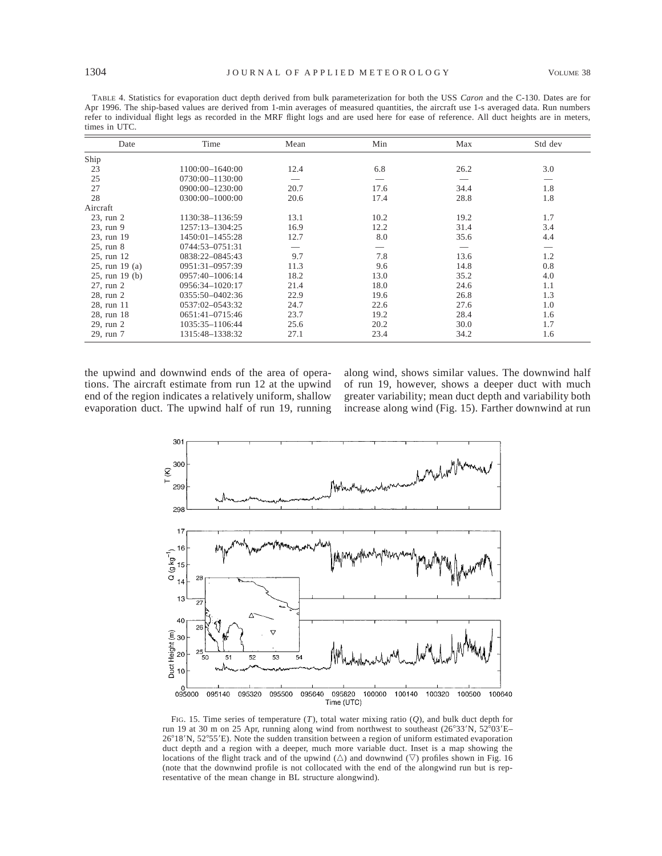TABLE 4. Statistics for evaporation duct depth derived from bulk parameterization for both the USS *Caron* and the C-130. Dates are for Apr 1996. The ship-based values are derived from 1-min averages of measured quantities, the aircraft use 1-s averaged data. Run numbers refer to individual flight legs as recorded in the MRF flight logs and are used here for ease of reference. All duct heights are in meters, times in UTC.

| Date              | Time                | Mean | Min  | Max  | Std dev |
|-------------------|---------------------|------|------|------|---------|
| Ship              |                     |      |      |      |         |
| 23                | 1100:00-1640:00     | 12.4 | 6.8  | 26.2 | 3.0     |
| 25                | $0730:00 - 1130:00$ |      |      |      |         |
| 27                | 0900:00-1230:00     | 20.7 | 17.6 | 34.4 | 1.8     |
| 28                | $0300:00 - 1000:00$ | 20.6 | 17.4 | 28.8 | 1.8     |
| Aircraft          |                     |      |      |      |         |
| 23, run 2         | 1130:38-1136:59     | 13.1 | 10.2 | 19.2 | 1.7     |
| 23, run 9         | 1257:13-1304:25     | 16.9 | 12.2 | 31.4 | 3.4     |
| 23, run 19        | 1450:01-1455:28     | 12.7 | 8.0  | 35.6 | 4.4     |
| $25$ , run $8$    | 0744:53-0751:31     |      |      |      |         |
| 25. run 12        | 0838:22-0845:43     | 9.7  | 7.8  | 13.6 | 1.2     |
| 25, run $19(a)$   | 0951:31-0957:39     | 11.3 | 9.6  | 14.8 | 0.8     |
| $25$ , run 19 (b) | $0957:40-1006:14$   | 18.2 | 13.0 | 35.2 | 4.0     |
| 27, run 2         | $0956:34 - 1020:17$ | 21.4 | 18.0 | 24.6 | 1.1     |
| 28, run 2         | 0355:50-0402:36     | 22.9 | 19.6 | 26.8 | 1.3     |
| 28, run 11        | 0537:02-0543:32     | 24.7 | 22.6 | 27.6 | 1.0     |
| 28, run 18        | $0651:41-0715:46$   | 23.7 | 19.2 | 28.4 | 1.6     |
| 29, run 2         | 1035:35-1106:44     | 25.6 | 20.2 | 30.0 | 1.7     |
| 29, run 7         | 1315:48-1338:32     | 27.1 | 23.4 | 34.2 | 1.6     |

the upwind and downwind ends of the area of operations. The aircraft estimate from run 12 at the upwind end of the region indicates a relatively uniform, shallow evaporation duct. The upwind half of run 19, running along wind, shows similar values. The downwind half of run 19, however, shows a deeper duct with much greater variability; mean duct depth and variability both increase along wind (Fig. 15). Farther downwind at run



FIG. 15. Time series of temperature (*T*), total water mixing ratio (*Q*), and bulk duct depth for run 19 at 30 m on 25 Apr, running along wind from northwest to southeast  $(26^{\circ}33'N, 52^{\circ}03'E 26^{\circ}18'$ N,  $52^{\circ}55'$ E). Note the sudden transition between a region of uniform estimated evaporation duct depth and a region with a deeper, much more variable duct. Inset is a map showing the locations of the flight track and of the upwind  $(\triangle)$  and downwind  $(\nabla)$  profiles shown in Fig. 16 (note that the downwind profile is not collocated with the end of the alongwind run but is representative of the mean change in BL structure alongwind).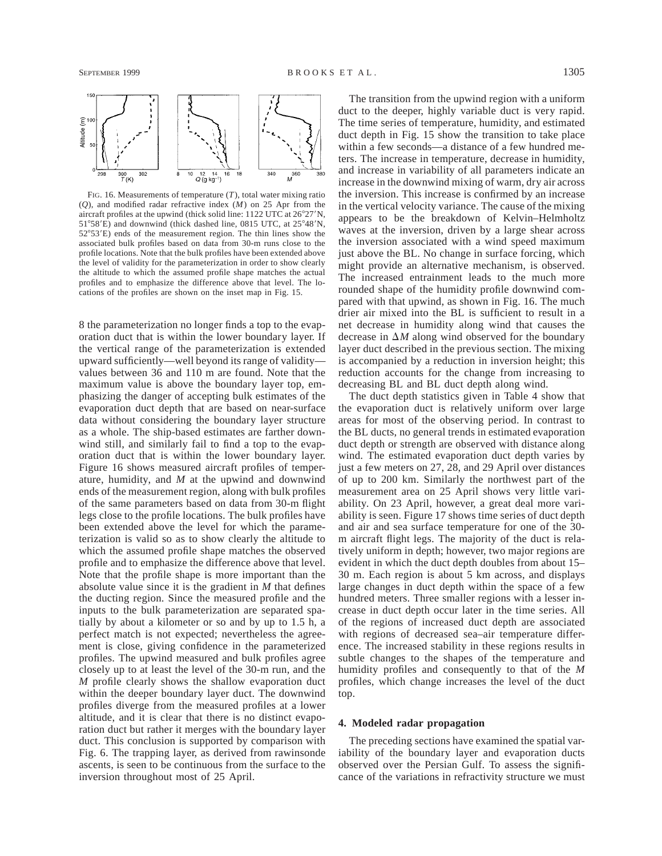

FIG. 16. Measurements of temperature (*T*), total water mixing ratio (*Q*), and modified radar refractive index (*M*) on 25 Apr from the aircraft profiles at the upwind (thick solid line:  $1122$  UTC at  $26^{\circ}27'N$ ,  $51^{\circ}58'$ E) and downwind (thick dashed line, 0815 UTC, at  $25^{\circ}48'$ N,  $52^{\circ}53'E$ ) ends of the measurement region. The thin lines show the associated bulk profiles based on data from 30-m runs close to the profile locations. Note that the bulk profiles have been extended above the level of validity for the parameterization in order to show clearly the altitude to which the assumed profile shape matches the actual profiles and to emphasize the difference above that level. The locations of the profiles are shown on the inset map in Fig. 15.

8 the parameterization no longer finds a top to the evaporation duct that is within the lower boundary layer. If the vertical range of the parameterization is extended upward sufficiently—well beyond its range of validity values between 36 and 110 m are found. Note that the maximum value is above the boundary layer top, emphasizing the danger of accepting bulk estimates of the evaporation duct depth that are based on near-surface data without considering the boundary layer structure as a whole. The ship-based estimates are farther downwind still, and similarly fail to find a top to the evaporation duct that is within the lower boundary layer. Figure 16 shows measured aircraft profiles of temperature, humidity, and *M* at the upwind and downwind ends of the measurement region, along with bulk profiles of the same parameters based on data from 30-m flight legs close to the profile locations. The bulk profiles have been extended above the level for which the parameterization is valid so as to show clearly the altitude to which the assumed profile shape matches the observed profile and to emphasize the difference above that level. Note that the profile shape is more important than the absolute value since it is the gradient in *M* that defines the ducting region. Since the measured profile and the inputs to the bulk parameterization are separated spatially by about a kilometer or so and by up to 1.5 h, a perfect match is not expected; nevertheless the agreement is close, giving confidence in the parameterized profiles. The upwind measured and bulk profiles agree closely up to at least the level of the 30-m run, and the *M* profile clearly shows the shallow evaporation duct within the deeper boundary layer duct. The downwind profiles diverge from the measured profiles at a lower altitude, and it is clear that there is no distinct evaporation duct but rather it merges with the boundary layer duct. This conclusion is supported by comparison with Fig. 6. The trapping layer, as derived from rawinsonde ascents, is seen to be continuous from the surface to the inversion throughout most of 25 April.

The transition from the upwind region with a uniform duct to the deeper, highly variable duct is very rapid. The time series of temperature, humidity, and estimated duct depth in Fig. 15 show the transition to take place within a few seconds—a distance of a few hundred meters. The increase in temperature, decrease in humidity, and increase in variability of all parameters indicate an increase in the downwind mixing of warm, dry air across the inversion. This increase is confirmed by an increase in the vertical velocity variance. The cause of the mixing appears to be the breakdown of Kelvin–Helmholtz waves at the inversion, driven by a large shear across the inversion associated with a wind speed maximum just above the BL. No change in surface forcing, which might provide an alternative mechanism, is observed. The increased entrainment leads to the much more rounded shape of the humidity profile downwind compared with that upwind, as shown in Fig. 16. The much drier air mixed into the BL is sufficient to result in a net decrease in humidity along wind that causes the decrease in  $\Delta M$  along wind observed for the boundary layer duct described in the previous section. The mixing is accompanied by a reduction in inversion height; this reduction accounts for the change from increasing to decreasing BL and BL duct depth along wind.

The duct depth statistics given in Table 4 show that the evaporation duct is relatively uniform over large areas for most of the observing period. In contrast to the BL ducts, no general trends in estimated evaporation duct depth or strength are observed with distance along wind. The estimated evaporation duct depth varies by just a few meters on 27, 28, and 29 April over distances of up to 200 km. Similarly the northwest part of the measurement area on 25 April shows very little variability. On 23 April, however, a great deal more variability is seen. Figure 17 shows time series of duct depth and air and sea surface temperature for one of the 30 m aircraft flight legs. The majority of the duct is relatively uniform in depth; however, two major regions are evident in which the duct depth doubles from about 15– 30 m. Each region is about 5 km across, and displays large changes in duct depth within the space of a few hundred meters. Three smaller regions with a lesser increase in duct depth occur later in the time series. All of the regions of increased duct depth are associated with regions of decreased sea–air temperature difference. The increased stability in these regions results in subtle changes to the shapes of the temperature and humidity profiles and consequently to that of the *M* profiles, which change increases the level of the duct top.

### **4. Modeled radar propagation**

The preceding sections have examined the spatial variability of the boundary layer and evaporation ducts observed over the Persian Gulf. To assess the significance of the variations in refractivity structure we must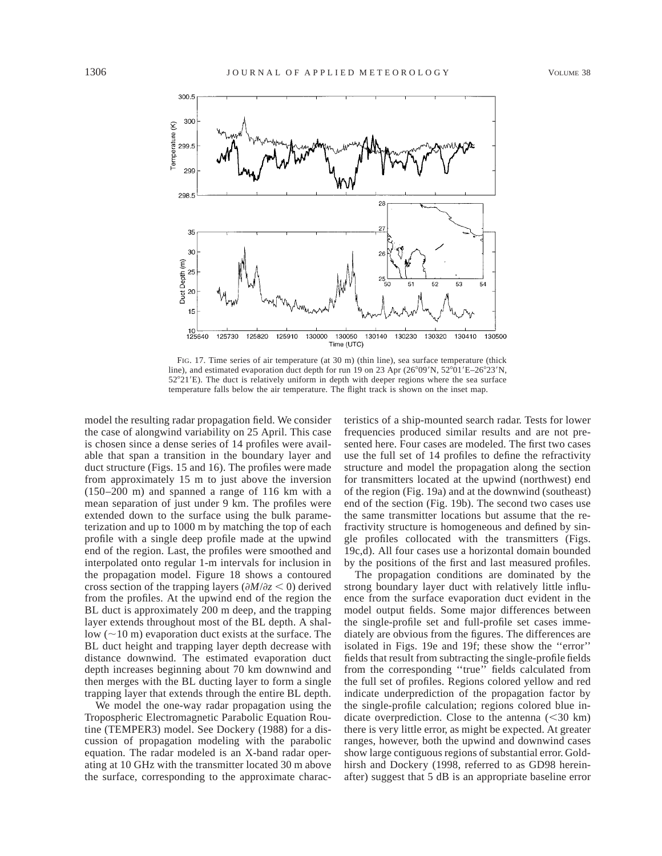

FIG. 17. Time series of air temperature (at 30 m) (thin line), sea surface temperature (thick line), and estimated evaporation duct depth for run 19 on 23 Apr (26°09'N, 52°01'E–26°23'N,  $52^{\circ}21^{\prime}$ E). The duct is relatively uniform in depth with deeper regions where the sea surface temperature falls below the air temperature. The flight track is shown on the inset map.

model the resulting radar propagation field. We consider the case of alongwind variability on 25 April. This case is chosen since a dense series of 14 profiles were available that span a transition in the boundary layer and duct structure (Figs. 15 and 16). The profiles were made from approximately 15 m to just above the inversion (150–200 m) and spanned a range of 116 km with a mean separation of just under 9 km. The profiles were extended down to the surface using the bulk parameterization and up to 1000 m by matching the top of each profile with a single deep profile made at the upwind end of the region. Last, the profiles were smoothed and interpolated onto regular 1-m intervals for inclusion in the propagation model. Figure 18 shows a contoured cross section of the trapping layers ( $\partial M/\partial z$  < 0) derived from the profiles. At the upwind end of the region the BL duct is approximately 200 m deep, and the trapping layer extends throughout most of the BL depth. A shallow  $(\sim 10 \text{ m})$  evaporation duct exists at the surface. The BL duct height and trapping layer depth decrease with distance downwind. The estimated evaporation duct depth increases beginning about 70 km downwind and then merges with the BL ducting layer to form a single trapping layer that extends through the entire BL depth.

We model the one-way radar propagation using the Tropospheric Electromagnetic Parabolic Equation Routine (TEMPER3) model. See Dockery (1988) for a discussion of propagation modeling with the parabolic equation. The radar modeled is an X-band radar operating at 10 GHz with the transmitter located 30 m above the surface, corresponding to the approximate charac-

teristics of a ship-mounted search radar. Tests for lower frequencies produced similar results and are not presented here. Four cases are modeled. The first two cases use the full set of 14 profiles to define the refractivity structure and model the propagation along the section for transmitters located at the upwind (northwest) end of the region (Fig. 19a) and at the downwind (southeast) end of the section (Fig. 19b). The second two cases use the same transmitter locations but assume that the refractivity structure is homogeneous and defined by single profiles collocated with the transmitters (Figs. 19c,d). All four cases use a horizontal domain bounded by the positions of the first and last measured profiles.

The propagation conditions are dominated by the strong boundary layer duct with relatively little influence from the surface evaporation duct evident in the model output fields. Some major differences between the single-profile set and full-profile set cases immediately are obvious from the figures. The differences are isolated in Figs. 19e and 19f; these show the ''error'' fields that result from subtracting the single-profile fields from the corresponding ''true'' fields calculated from the full set of profiles. Regions colored yellow and red indicate underprediction of the propagation factor by the single-profile calculation; regions colored blue indicate overprediction. Close to the antenna  $(< 30 \text{ km})$ there is very little error, as might be expected. At greater ranges, however, both the upwind and downwind cases show large contiguous regions of substantial error. Goldhirsh and Dockery (1998, referred to as GD98 hereinafter) suggest that 5 dB is an appropriate baseline error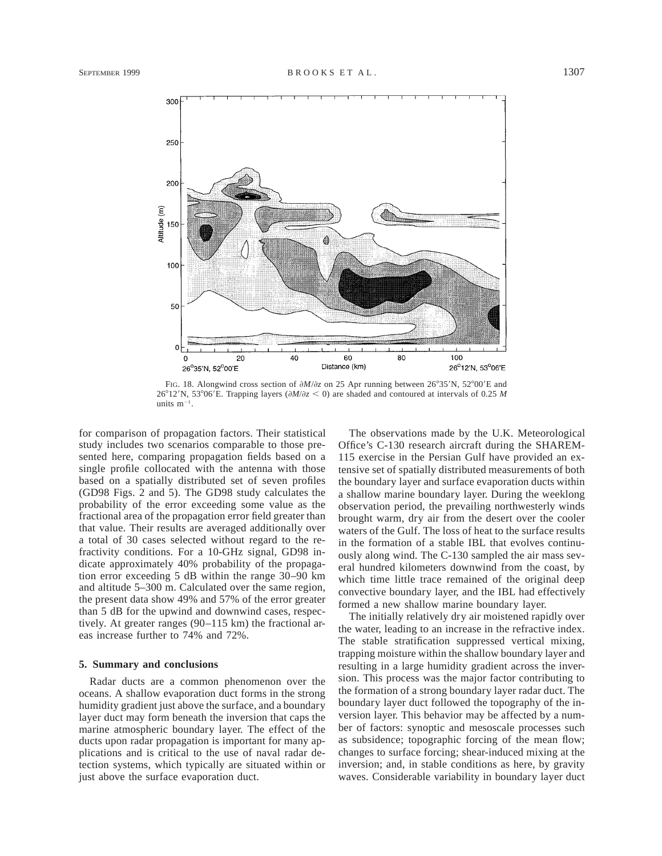

FIG. 18. Alongwind cross section of  $\partial M/\partial z$  on 25 Apr running between 26°35'N, 52°00'E and 26°12′N, 53°06′E. Trapping layers ( $\partial M/\partial z < 0$ ) are shaded and contoured at intervals of 0.25 *M* units  $m^{-1}$ .

for comparison of propagation factors. Their statistical study includes two scenarios comparable to those presented here, comparing propagation fields based on a single profile collocated with the antenna with those based on a spatially distributed set of seven profiles (GD98 Figs. 2 and 5). The GD98 study calculates the probability of the error exceeding some value as the fractional area of the propagation error field greater than that value. Their results are averaged additionally over a total of 30 cases selected without regard to the refractivity conditions. For a 10-GHz signal, GD98 indicate approximately 40% probability of the propagation error exceeding 5 dB within the range 30–90 km and altitude 5–300 m. Calculated over the same region, the present data show 49% and 57% of the error greater than 5 dB for the upwind and downwind cases, respectively. At greater ranges (90–115 km) the fractional areas increase further to 74% and 72%.

## **5. Summary and conclusions**

Radar ducts are a common phenomenon over the oceans. A shallow evaporation duct forms in the strong humidity gradient just above the surface, and a boundary layer duct may form beneath the inversion that caps the marine atmospheric boundary layer. The effect of the ducts upon radar propagation is important for many applications and is critical to the use of naval radar detection systems, which typically are situated within or just above the surface evaporation duct.

The observations made by the U.K. Meteorological Office's C-130 research aircraft during the SHAREM-115 exercise in the Persian Gulf have provided an extensive set of spatially distributed measurements of both the boundary layer and surface evaporation ducts within a shallow marine boundary layer. During the weeklong observation period, the prevailing northwesterly winds brought warm, dry air from the desert over the cooler waters of the Gulf. The loss of heat to the surface results in the formation of a stable IBL that evolves continuously along wind. The C-130 sampled the air mass several hundred kilometers downwind from the coast, by which time little trace remained of the original deep convective boundary layer, and the IBL had effectively formed a new shallow marine boundary layer.

The initially relatively dry air moistened rapidly over the water, leading to an increase in the refractive index. The stable stratification suppressed vertical mixing, trapping moisture within the shallow boundary layer and resulting in a large humidity gradient across the inversion. This process was the major factor contributing to the formation of a strong boundary layer radar duct. The boundary layer duct followed the topography of the inversion layer. This behavior may be affected by a number of factors: synoptic and mesoscale processes such as subsidence; topographic forcing of the mean flow; changes to surface forcing; shear-induced mixing at the inversion; and, in stable conditions as here, by gravity waves. Considerable variability in boundary layer duct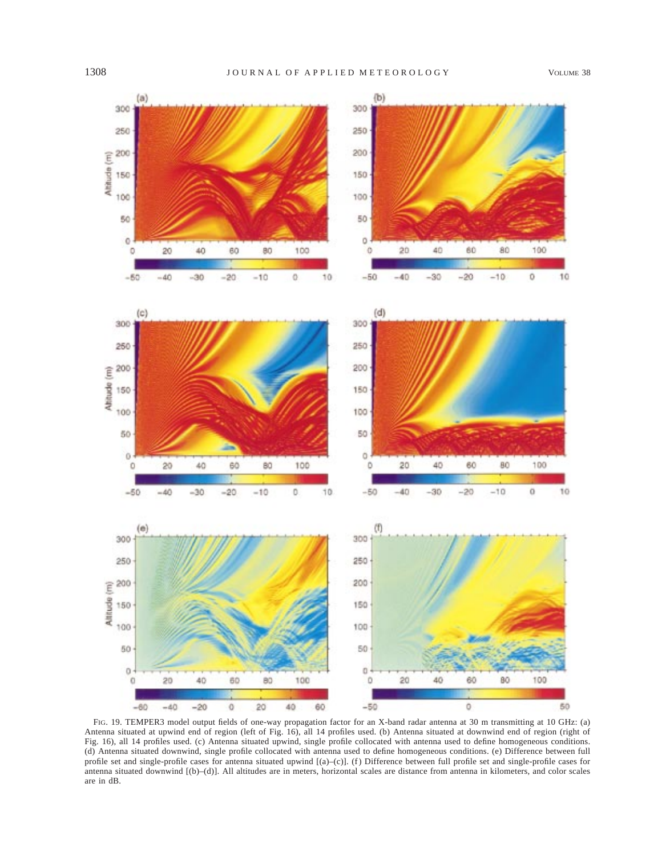

FIG. 19. TEMPER3 model output fields of one-way propagation factor for an X-band radar antenna at 30 m transmitting at 10 GHz: (a) Antenna situated at upwind end of region (left of Fig. 16), all 14 profiles used. (b) Antenna situated at downwind end of region (right of Fig. 16), all 14 profiles used. (c) Antenna situated upwind, single profile collocated with antenna used to define homogeneous conditions. (d) Antenna situated downwind, single profile collocated with antenna used to define homogeneous conditions. (e) Difference between full profile set and single-profile cases for antenna situated upwind [(a)–(c)]. (f) Difference between full profile set and single-profile cases for antenna situated downwind [(b)–(d)]. All altitudes are in meters, horizontal scales are distance from antenna in kilometers, and color scales are in dB.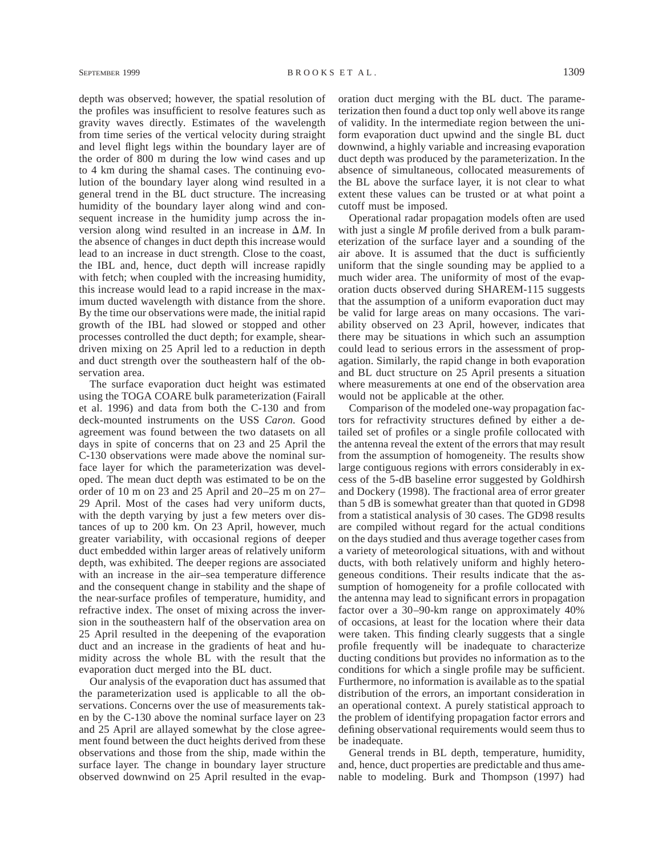depth was observed; however, the spatial resolution of the profiles was insufficient to resolve features such as gravity waves directly. Estimates of the wavelength from time series of the vertical velocity during straight and level flight legs within the boundary layer are of the order of 800 m during the low wind cases and up to 4 km during the shamal cases. The continuing evolution of the boundary layer along wind resulted in a general trend in the BL duct structure. The increasing humidity of the boundary layer along wind and consequent increase in the humidity jump across the inversion along wind resulted in an increase in  $\Delta M$ . In the absence of changes in duct depth this increase would lead to an increase in duct strength. Close to the coast, the IBL and, hence, duct depth will increase rapidly with fetch; when coupled with the increasing humidity, this increase would lead to a rapid increase in the maximum ducted wavelength with distance from the shore. By the time our observations were made, the initial rapid growth of the IBL had slowed or stopped and other processes controlled the duct depth; for example, sheardriven mixing on 25 April led to a reduction in depth and duct strength over the southeastern half of the observation area.

The surface evaporation duct height was estimated using the TOGA COARE bulk parameterization (Fairall et al. 1996) and data from both the C-130 and from deck-mounted instruments on the USS *Caron.* Good agreement was found between the two datasets on all days in spite of concerns that on 23 and 25 April the C-130 observations were made above the nominal surface layer for which the parameterization was developed. The mean duct depth was estimated to be on the order of 10 m on 23 and 25 April and 20–25 m on 27– 29 April. Most of the cases had very uniform ducts, with the depth varying by just a few meters over distances of up to 200 km. On 23 April, however, much greater variability, with occasional regions of deeper duct embedded within larger areas of relatively uniform depth, was exhibited. The deeper regions are associated with an increase in the air–sea temperature difference and the consequent change in stability and the shape of the near-surface profiles of temperature, humidity, and refractive index. The onset of mixing across the inversion in the southeastern half of the observation area on 25 April resulted in the deepening of the evaporation duct and an increase in the gradients of heat and humidity across the whole BL with the result that the evaporation duct merged into the BL duct.

Our analysis of the evaporation duct has assumed that the parameterization used is applicable to all the observations. Concerns over the use of measurements taken by the C-130 above the nominal surface layer on 23 and 25 April are allayed somewhat by the close agreement found between the duct heights derived from these observations and those from the ship, made within the surface layer. The change in boundary layer structure observed downwind on 25 April resulted in the evaporation duct merging with the BL duct. The parameterization then found a duct top only well above its range of validity. In the intermediate region between the uniform evaporation duct upwind and the single BL duct downwind, a highly variable and increasing evaporation duct depth was produced by the parameterization. In the absence of simultaneous, collocated measurements of the BL above the surface layer, it is not clear to what extent these values can be trusted or at what point a cutoff must be imposed.

Operational radar propagation models often are used with just a single *M* profile derived from a bulk parameterization of the surface layer and a sounding of the air above. It is assumed that the duct is sufficiently uniform that the single sounding may be applied to a much wider area. The uniformity of most of the evaporation ducts observed during SHAREM-115 suggests that the assumption of a uniform evaporation duct may be valid for large areas on many occasions. The variability observed on 23 April, however, indicates that there may be situations in which such an assumption could lead to serious errors in the assessment of propagation. Similarly, the rapid change in both evaporation and BL duct structure on 25 April presents a situation where measurements at one end of the observation area would not be applicable at the other.

Comparison of the modeled one-way propagation factors for refractivity structures defined by either a detailed set of profiles or a single profile collocated with the antenna reveal the extent of the errors that may result from the assumption of homogeneity. The results show large contiguous regions with errors considerably in excess of the 5-dB baseline error suggested by Goldhirsh and Dockery (1998). The fractional area of error greater than 5 dB is somewhat greater than that quoted in GD98 from a statistical analysis of 30 cases. The GD98 results are compiled without regard for the actual conditions on the days studied and thus average together cases from a variety of meteorological situations, with and without ducts, with both relatively uniform and highly heterogeneous conditions. Their results indicate that the assumption of homogeneity for a profile collocated with the antenna may lead to significant errors in propagation factor over a 30–90-km range on approximately 40% of occasions, at least for the location where their data were taken. This finding clearly suggests that a single profile frequently will be inadequate to characterize ducting conditions but provides no information as to the conditions for which a single profile may be sufficient. Furthermore, no information is available as to the spatial distribution of the errors, an important consideration in an operational context. A purely statistical approach to the problem of identifying propagation factor errors and defining observational requirements would seem thus to be inadequate.

General trends in BL depth, temperature, humidity, and, hence, duct properties are predictable and thus amenable to modeling. Burk and Thompson (1997) had